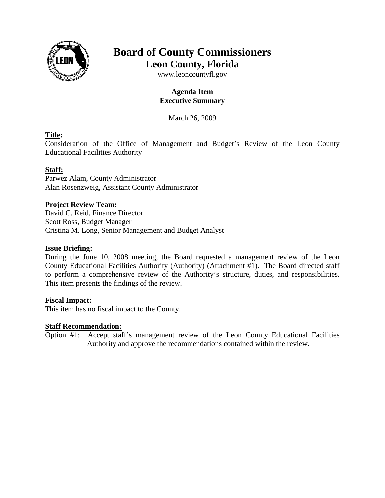

# **Board of County Commissioners Leon County, Florida**

www.leoncountyfl.gov

# **Agenda Item Executive Summary**

March 26, 2009

# **Title:**

Consideration of the Office of Management and Budget's Review of the Leon County Educational Facilities Authority

# **Staff:**

Parwez Alam, County Administrator Alan Rosenzweig, Assistant County Administrator

### **Project Review Team:**

David C. Reid, Finance Director Scott Ross, Budget Manager Cristina M. Long, Senior Management and Budget Analyst

#### **Issue Briefing:**

During the June 10, 2008 meeting, the Board requested a management review of the Leon County Educational Facilities Authority (Authority) (Attachment #1). The Board directed staff to perform a comprehensive review of the Authority's structure, duties, and responsibilities. This item presents the findings of the review.

### **Fiscal Impact:**

This item has no fiscal impact to the County.

### **Staff Recommendation:**

Option #1: Accept staff's management review of the Leon County Educational Facilities Authority and approve the recommendations contained within the review.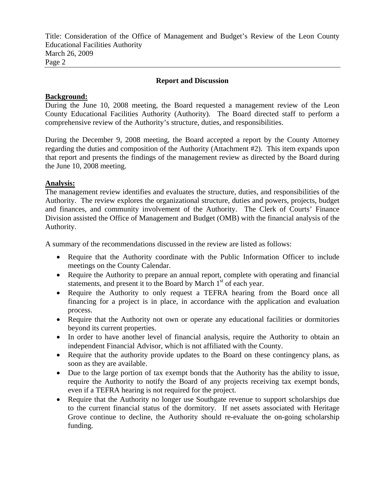Title: Consideration of the Office of Management and Budget's Review of the Leon County Educational Facilities Authority March 26, 2009 Page 2

#### **Report and Discussion**

#### **Background:**

During the June 10, 2008 meeting, the Board requested a management review of the Leon County Educational Facilities Authority (Authority). The Board directed staff to perform a comprehensive review of the Authority's structure, duties, and responsibilities.

During the December 9, 2008 meeting, the Board accepted a report by the County Attorney regarding the duties and composition of the Authority (Attachment #2). This item expands upon that report and presents the findings of the management review as directed by the Board during the June 10, 2008 meeting.

#### **Analysis:**

The management review identifies and evaluates the structure, duties, and responsibilities of the Authority. The review explores the organizational structure, duties and powers, projects, budget and finances, and community involvement of the Authority. The Clerk of Courts' Finance Division assisted the Office of Management and Budget (OMB) with the financial analysis of the Authority.

A summary of the recommendations discussed in the review are listed as follows:

- Require that the Authority coordinate with the Public Information Officer to include meetings on the County Calendar.
- Require the Authority to prepare an annual report, complete with operating and financial statements, and present it to the Board by March  $1<sup>st</sup>$  of each year.
- Require the Authority to only request a TEFRA hearing from the Board once all financing for a project is in place, in accordance with the application and evaluation process.
- Require that the Authority not own or operate any educational facilities or dormitories beyond its current properties.
- In order to have another level of financial analysis, require the Authority to obtain an independent Financial Advisor, which is not affiliated with the County.
- Require that the authority provide updates to the Board on these contingency plans, as soon as they are available.
- Due to the large portion of tax exempt bonds that the Authority has the ability to issue, require the Authority to notify the Board of any projects receiving tax exempt bonds, even if a TEFRA hearing is not required for the project.
- Require that the Authority no longer use Southgate revenue to support scholarships due to the current financial status of the dormitory. If net assets associated with Heritage Grove continue to decline, the Authority should re-evaluate the on-going scholarship funding.